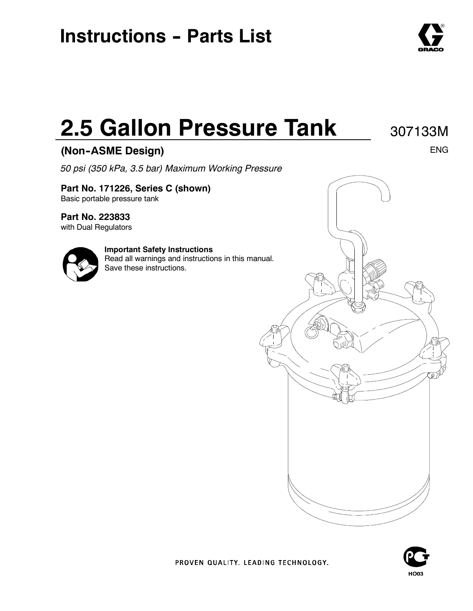# **Instructions - Parts List**

# **2.5 Gallon Pressure Tank**

## **(Non--ASME Design)**

*50 psi (350 kPa, 3.5 bar) Maximum Working Pressure*

**Part No. 171226, Series C (shown)** Basic portable pressure tank

**Part No. 223833**

with Dual Regulators

### **Important Safety Instructions**

Read all warnings and instructions in this manual. Save these instructions.



PROVEN QUALITY. LEADING TECHNOLOGY.





ENG

307133M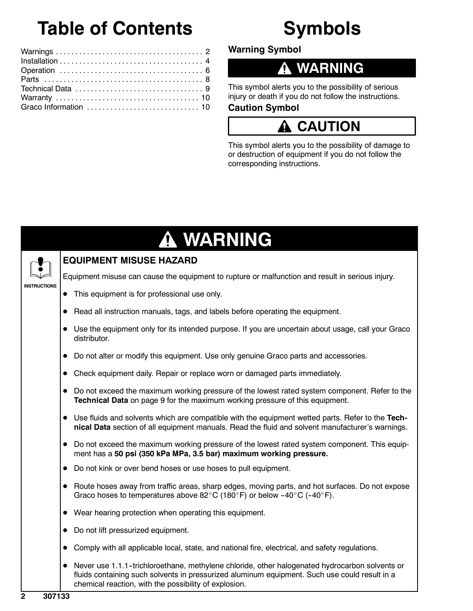# **Table of Contents**

# **Symbols**

**Warning Symbol**

## **WARNING**

This symbol alerts you to the possibility of serious injury or death if you do not follow the instructions.

### **Caution Symbol**

## **CAUTION**

This symbol alerts you to the possibility of damage to or destruction of equipment if you do not follow the corresponding instructions.

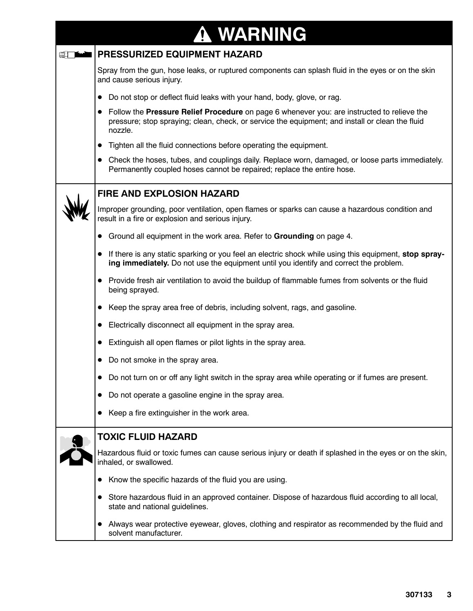|   | A WARNING                                                                                                                                                                                                             |
|---|-----------------------------------------------------------------------------------------------------------------------------------------------------------------------------------------------------------------------|
| ▥ | PRESSURIZED EQUIPMENT HAZARD                                                                                                                                                                                          |
|   | Spray from the gun, hose leaks, or ruptured components can splash fluid in the eyes or on the skin<br>and cause serious injury.                                                                                       |
|   | Do not stop or deflect fluid leaks with your hand, body, glove, or rag.<br>$\bullet$                                                                                                                                  |
|   | Follow the Pressure Relief Procedure on page 6 whenever you: are instructed to relieve the<br>$\bullet$<br>pressure; stop spraying; clean, check, or service the equipment; and install or clean the fluid<br>nozzle. |
|   | Tighten all the fluid connections before operating the equipment.<br>$\bullet$                                                                                                                                        |
|   | Check the hoses, tubes, and couplings daily. Replace worn, damaged, or loose parts immediately.<br>$\bullet$<br>Permanently coupled hoses cannot be repaired; replace the entire hose.                                |
|   | <b>FIRE AND EXPLOSION HAZARD</b>                                                                                                                                                                                      |
|   | Improper grounding, poor ventilation, open flames or sparks can cause a hazardous condition and<br>result in a fire or explosion and serious injury.                                                                  |
|   | Ground all equipment in the work area. Refer to Grounding on page 4.                                                                                                                                                  |
|   | If there is any static sparking or you feel an electric shock while using this equipment, stop spray-<br>$\bullet$<br>ing immediately. Do not use the equipment until you identify and correct the problem.           |
|   | Provide fresh air ventilation to avoid the buildup of flammable fumes from solvents or the fluid<br>being sprayed.                                                                                                    |
|   | Keep the spray area free of debris, including solvent, rags, and gasoline.<br>$\bullet$                                                                                                                               |
|   | Electrically disconnect all equipment in the spray area.                                                                                                                                                              |
|   | Extinguish all open flames or pilot lights in the spray area.<br>$\bullet$                                                                                                                                            |
|   | Do not smoke in the spray area.                                                                                                                                                                                       |
|   | Do not turn on or off any light switch in the spray area while operating or if fumes are present.                                                                                                                     |
|   | Do not operate a gasoline engine in the spray area.<br>$\bullet$                                                                                                                                                      |
|   | Keep a fire extinguisher in the work area.<br>$\bullet$                                                                                                                                                               |
|   | <b>TOXIC FLUID HAZARD</b>                                                                                                                                                                                             |
|   | Hazardous fluid or toxic fumes can cause serious injury or death if splashed in the eyes or on the skin,<br>inhaled, or swallowed.                                                                                    |
|   | Know the specific hazards of the fluid you are using.                                                                                                                                                                 |
|   | Store hazardous fluid in an approved container. Dispose of hazardous fluid according to all local,<br>state and national guidelines.                                                                                  |
|   | Always wear protective eyewear, gloves, clothing and respirator as recommended by the fluid and<br>solvent manufacturer.                                                                                              |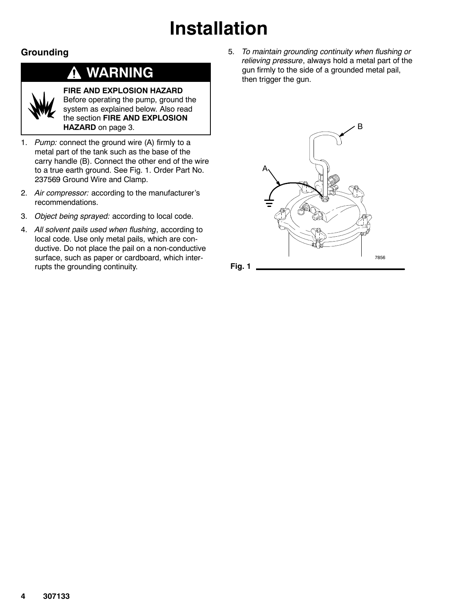# **Installation**

## **Grounding**

#### **WARNING** <mark>↑</mark>



## **FIRE AND EXPLOSION HAZARD**

Before operating the pump, ground the system as explained below. Also read the section **FIRE AND EXPLOSION HAZARD** on page 3.

- 1. *Pump:* connect the ground wire (A) firmly to a metal part of the tank such as the base of the carry handle (B). Connect the other end of the wire to a true earth ground. See Fig. 1. Order Part No. 237569 Ground Wire and Clamp.
- 2. *Air compressor:* according to the manufacturer's recommendations.
- 3. *Object being sprayed:* according to local code.
- 4. *All solvent pails used when flushing*, according to local code. Use only metal pails, which are conductive. Do not place the pail on a non-conductive surface, such as paper or cardboard, which interrupts the grounding continuity.

5. *To maintain grounding continuity when flushing or relieving pressure*, always hold a metal part of the gun firmly to the side of a grounded metal pail, then trigger the gun.

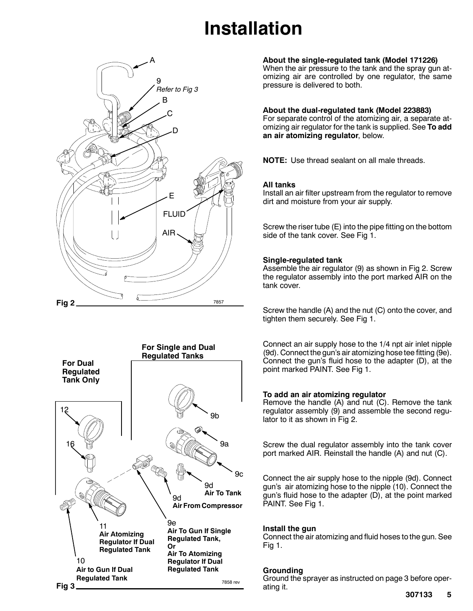# **Installation**





#### **About the single-regulated tank (Model 171226)**

When the air pressure to the tank and the spray gun atomizing air are controlled by one regulator, the same pressure is delivered to both.

#### **About the dual-regulated tank (Model 223883)**

For separate control of the atomizing air, a separate atomizing air regulator for the tank is supplied. See **To add an air atomizing regulator**, below.

**NOTE:** Use thread sealant on all male threads.

#### **All tanks**

Install an air filter upstream from the regulator to remove dirt and moisture from your air supply.

Screw the riser tube (E) into the pipe fitting on the bottom side of the tank cover. See Fig 1.

#### **Single-regulated tank**

Assemble the air regulator (9) as shown in Fig 2. Screw the regulator assembly into the port marked AIR on the tank cover.

Screw the handle (A) and the nut (C) onto the cover, and tighten them securely. See Fig 1.

Connect an air supply hose to the 1/4 npt air inlet nipple (9d). Connect the gun's air atomizing hose tee fitting (9e). Connect the gun's fluid hose to the adapter (D), at the point marked PAINT. See Fig 1.

#### **To add an air atomizing regulator**

Remove the handle (A) and nut (C). Remove the tank regulator assembly (9) and assemble the second regulator to it as shown in Fig 2.

Screw the dual regulator assembly into the tank cover port marked AIR. Reinstall the handle (A) and nut (C).

Connect the air supply hose to the nipple (9d). Connect gun's air atomizing hose to the nipple (10). Connect the gun's fluid hose to the adapter (D), at the point marked PAINT. See Fig 1.

#### **Install the gun**

Connect the air atomizing and fluid hoses to the gun. See Fig 1.

#### **Grounding**

Ground the sprayer as instructed on page 3 before operating it.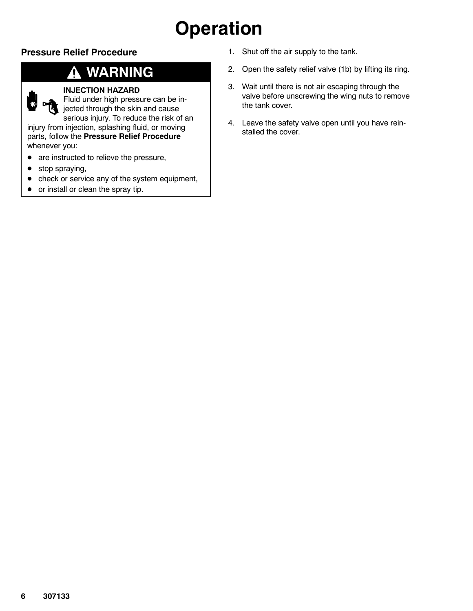# **Operation**

### **Pressure Relief Procedure**

## **WARNING**

### **INJECTION HAZARD**

Fluid under high pressure can be injected through the skin and cause serious injury. To reduce the risk of an

injury from injection, splashing fluid, or moving parts, follow the **Pressure Relief Procedure** whenever you:

- $\bullet$  are instructed to relieve the pressure,
- $\bullet$  stop spraying,
- check or service any of the system equipment,
- $\bullet$  or install or clean the spray tip.
- 1. Shut off the air supply to the tank.
- 2. Open the safety relief valve (1b) by lifting its ring.
- 3. Wait until there is not air escaping through the valve before unscrewing the wing nuts to remove the tank cover.
- 4. Leave the safety valve open until you have reinstalled the cover.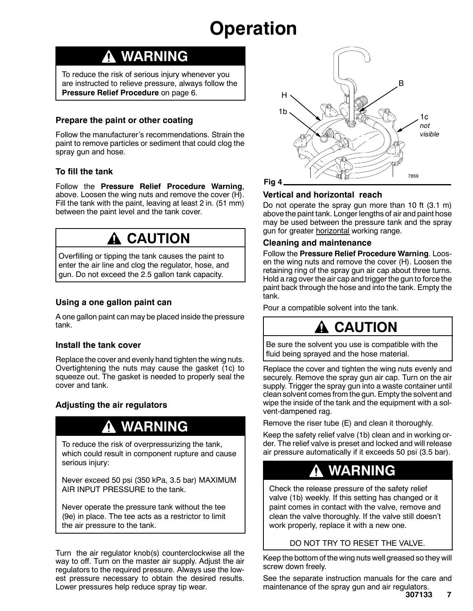# **Operation**

## **WARNING**

To reduce the risk of serious injury whenever you are instructed to relieve pressure, always follow the **Pressure Relief Procedure** on page 6.

### **Prepare the paint or other coating**

Follow the manufacturer's recommendations. Strain the paint to remove particles or sediment that could clog the spray gun and hose.

### **To fill the tank**

Follow the **Pressure Relief Procedure Warning**, above. Loosen the wing nuts and remove the cover (H). Fill the tank with the paint, leaving at least 2 in. (51 mm) between the paint level and the tank cover.

## **CAUTION**

Overfilling or tipping the tank causes the paint to enter the air line and clog the regulator, hose, and gun. Do not exceed the 2.5 gallon tank capacity.

### **Using a one gallon paint can**

A one gallon paint can may be placed inside the pressure tank.

### **Install the tank cover**

Replace the cover and evenly hand tighten the wing nuts. Overtightening the nuts may cause the gasket (1c) to squeeze out. The gasket is needed to properly seal the cover and tank.

### **Adjusting the air regulators**

## **WARNING**

To reduce the risk of overpressurizing the tank, which could result in component rupture and cause serious injury:

Never exceed 50 psi (350 kPa, 3.5 bar) MAXIMUM AIR INPUT PRESSURE to the tank.

Never operate the pressure tank without the tee (9e) in place. The tee acts as a restrictor to limit the air pressure to the tank.

Turn the air regulator knob(s) counterclockwise all the way to off. Turn on the master air supply. Adjust the air regulators to the required pressure. Always use the lowest pressure necessary to obtain the desired results. Lower pressures help reduce spray tip wear.



### **Vertical and horizontal reach**

Do not operate the spray gun more than 10 ft (3.1 m) above the paint tank. Longer lengths of air and paint hose may be used between the pressure tank and the spray gun for greater horizontal working range.

### **Cleaning and maintenance**

Follow the **Pressure Relief Procedure Warning**. Loosen the wing nuts and remove the cover (H). Loosen the retaining ring of the spray gun air cap about three turns. Hold a rag over the air cap and trigger the gun to force the paint back through the hose and into the tank. Empty the tank.

Pour a compatible solvent into the tank.

## **A CAUTION**

Be sure the solvent you use is compatible with the fluid being sprayed and the hose material.

Replace the cover and tighten the wing nuts evenly and securely. Remove the spray gun air cap. Turn on the air supply. Trigger the spray gun into a waste container until clean solvent comes from the gun. Empty the solvent and wipe the inside of the tank and the equipment with a solvent-dampened rag.

Remove the riser tube (E) and clean it thoroughly.

Keep the safety relief valve (1b) clean and in working order. The relief valve is preset and locked and will release air pressure automatically if it exceeds 50 psi (3.5 bar).

## **WARNING**

Check the release pressure of the safety relief valve (1b) weekly. If this setting has changed or it paint comes in contact with the valve, remove and clean the valve thoroughly. If the valve still doesn't work properly, replace it with a new one.

### DO NOT TRY TO RESET THE VALVE.

Keep the bottom of the wing nuts well greased so they will screw down freely.

See the separate instruction manuals for the care and maintenance of the spray gun and air regulators.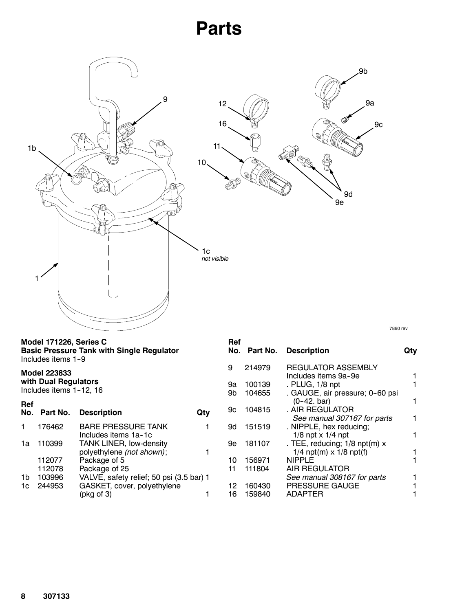# **Parts**



**Basic Pressure Tank with Single Regulator** Includes items 1-9

### **Model 223833 with Dual Regulators**

Includes items 1-12, 16

| Ref<br>No. | Part No. | <b>Description</b>                                          |  |
|------------|----------|-------------------------------------------------------------|--|
|            | 176462   | <b>BARE PRESSURE TANK</b><br>Includes items 1a-1c           |  |
| 1a         | 110399   | <b>TANK LINER, low-density</b><br>polyethylene (not shown); |  |
|            | 112077   | Package of 5                                                |  |
|            | 112078   | Package of 25                                               |  |
| 1b         | 103996   | VALVE, safety relief; 50 psi (3.5 bar) 1                    |  |
| 1c         | 244953   | GASKET, cover, polyethylene                                 |  |
|            |          | $(\text{pkg of } 3)$                                        |  |

| utv |
|-----|
|     |
|     |
|     |
|     |
|     |
|     |
|     |
|     |
|     |
|     |
|     |
|     |

7860 rev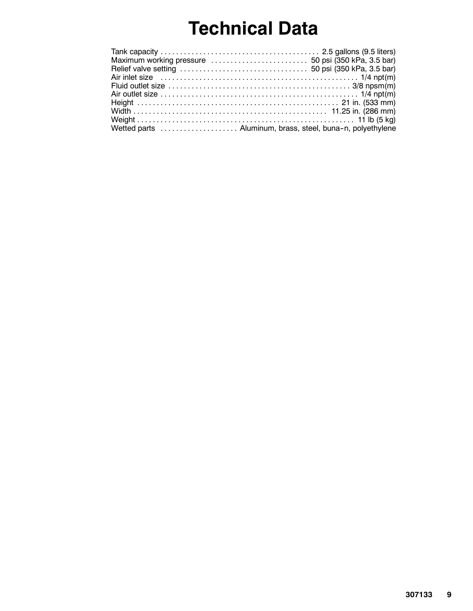# **Technical Data**

| Fluid outlet size $\dots\dots\dots\dots\dots\dots\dots\dots\dots\dots\dots\dots\dots\dots$ 3/8 npsm(m) |  |
|--------------------------------------------------------------------------------------------------------|--|
|                                                                                                        |  |
|                                                                                                        |  |
|                                                                                                        |  |
|                                                                                                        |  |
| Wetted parts  Aluminum, brass, steel, buna-n, polyethylene                                             |  |